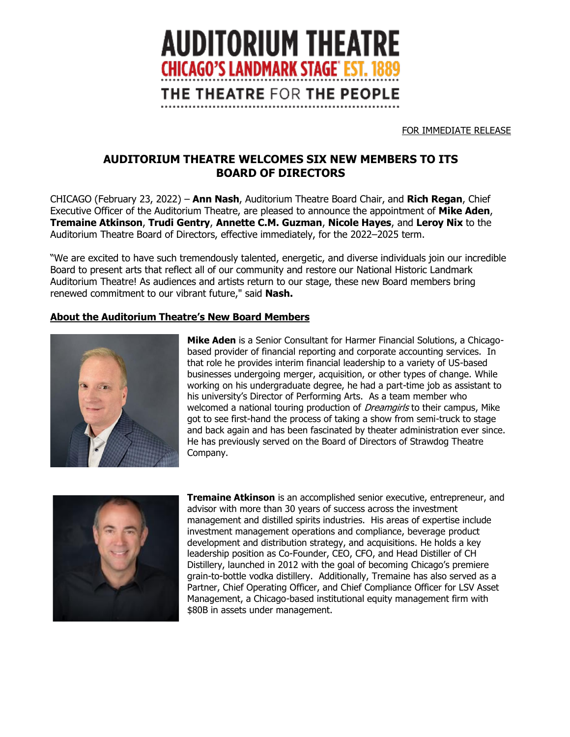

FOR IMMEDIATE RELEASE

## **AUDITORIUM THEATRE WELCOMES SIX NEW MEMBERS TO ITS BOARD OF DIRECTORS**

CHICAGO (February 23, 2022) – **Ann Nash**, Auditorium Theatre Board Chair, and **Rich Regan**, Chief Executive Officer of the Auditorium Theatre, are pleased to announce the appointment of **Mike Aden**, **Tremaine Atkinson**, **Trudi Gentry**, **Annette C.M. Guzman**, **Nicole Hayes**, and **Leroy Nix** to the Auditorium Theatre Board of Directors, effective immediately, for the 2022–2025 term.

"We are excited to have such tremendously talented, energetic, and diverse individuals join our incredible Board to present arts that reflect all of our community and restore our National Historic Landmark Auditorium Theatre! As audiences and artists return to our stage, these new Board members bring renewed commitment to our vibrant future," said **Nash.**

## **About the Auditorium Theatre's New Board Members**



**Mike Aden** is a Senior Consultant for Harmer Financial Solutions, a Chicagobased provider of financial reporting and corporate accounting services. In that role he provides interim financial leadership to a variety of US-based businesses undergoing merger, acquisition, or other types of change. While working on his undergraduate degree, he had a part-time job as assistant to his university's Director of Performing Arts. As a team member who welcomed a national touring production of *Dreamgirls* to their campus, Mike got to see first-hand the process of taking a show from semi-truck to stage and back again and has been fascinated by theater administration ever since. He has previously served on the Board of Directors of Strawdog Theatre Company.



**Tremaine Atkinson** is an accomplished senior executive, entrepreneur, and advisor with more than 30 years of success across the investment management and distilled spirits industries. His areas of expertise include investment management operations and compliance, beverage product development and distribution strategy, and acquisitions. He holds a key leadership position as Co-Founder, CEO, CFO, and Head Distiller of CH Distillery, launched in 2012 with the goal of becoming Chicago's premiere grain-to-bottle vodka distillery. Additionally, Tremaine has also served as a Partner, Chief Operating Officer, and Chief Compliance Officer for LSV Asset Management, a Chicago-based institutional equity management firm with \$80B in assets under management.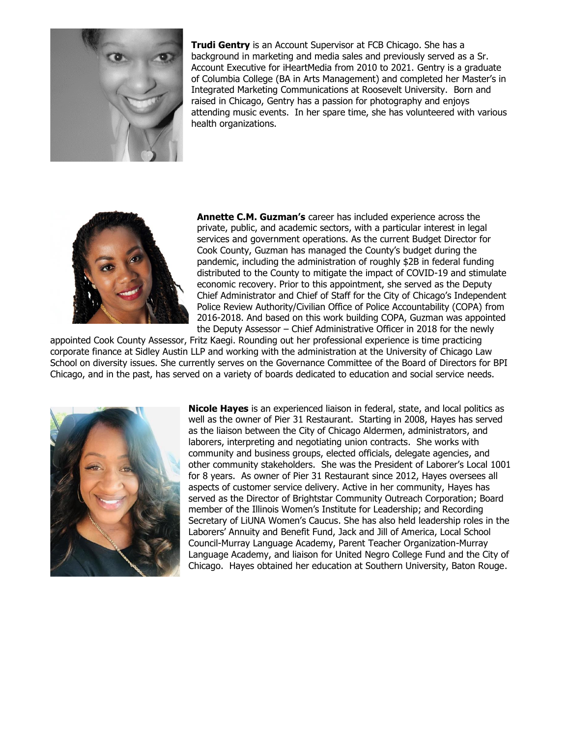

**Trudi Gentry** is an Account Supervisor at FCB Chicago. She has a background in marketing and media sales and previously served as a Sr. Account Executive for iHeartMedia from 2010 to 2021. Gentry is a graduate of Columbia College (BA in Arts Management) and completed her Master's in Integrated Marketing Communications at Roosevelt University. Born and raised in Chicago, Gentry has a passion for photography and enjoys attending music events. In her spare time, she has volunteered with various health organizations.



**Annette C.M. Guzman's** career has included experience across the private, public, and academic sectors, with a particular interest in legal services and government operations. As the current Budget Director for Cook County, Guzman has managed the County's budget during the pandemic, including the administration of roughly \$2B in federal funding distributed to the County to mitigate the impact of COVID-19 and stimulate economic recovery. Prior to this appointment, she served as the Deputy Chief Administrator and Chief of Staff for the City of Chicago's Independent Police Review Authority/Civilian Office of Police Accountability (COPA) from 2016-2018. And based on this work building COPA, Guzman was appointed the Deputy Assessor – Chief Administrative Officer in 2018 for the newly

appointed Cook County Assessor, Fritz Kaegi. Rounding out her professional experience is time practicing corporate finance at Sidley Austin LLP and working with the administration at the University of Chicago Law School on diversity issues. She currently serves on the Governance Committee of the Board of Directors for BPI Chicago, and in the past, has served on a variety of boards dedicated to education and social service needs.



**Nicole Hayes** is an experienced liaison in federal, state, and local politics as well as the owner of Pier 31 Restaurant. Starting in 2008, Hayes has served as the liaison between the City of Chicago Aldermen, administrators, and laborers, interpreting and negotiating union contracts. She works with community and business groups, elected officials, delegate agencies, and other community stakeholders. She was the President of Laborer's Local 1001 for 8 years. As owner of Pier 31 Restaurant since 2012, Hayes oversees all aspects of customer service delivery. Active in her community, Hayes has served as the Director of Brightstar Community Outreach Corporation; Board member of the Illinois Women's Institute for Leadership; and Recording Secretary of LiUNA Women's Caucus. She has also held leadership roles in the Laborers' Annuity and Benefit Fund, Jack and Jill of America, Local School Council-Murray Language Academy, Parent Teacher Organization-Murray Language Academy, and liaison for United Negro College Fund and the City of Chicago. Hayes obtained her education at Southern University, Baton Rouge.